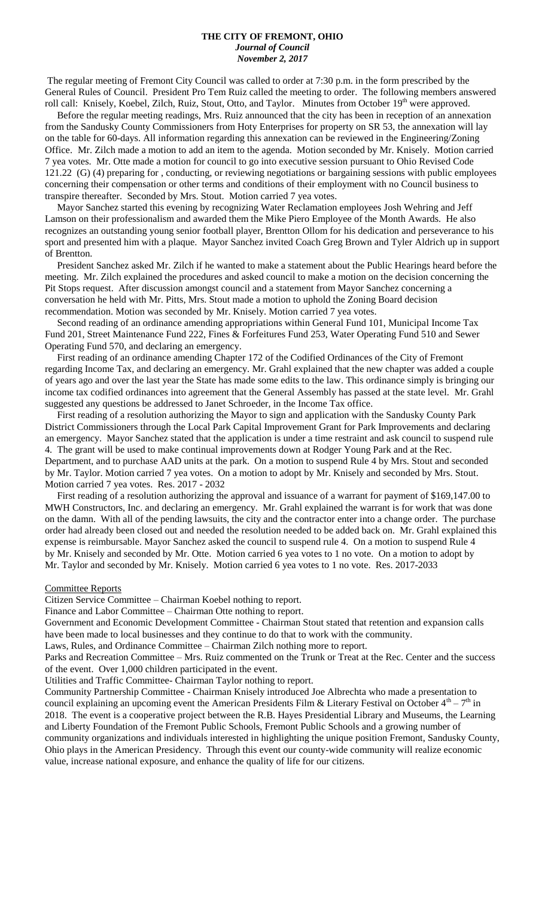#### **THE CITY OF FREMONT, OHIO** *Journal of Council November 2, 2017*

The regular meeting of Fremont City Council was called to order at 7:30 p.m. in the form prescribed by the General Rules of Council. President Pro Tem Ruiz called the meeting to order. The following members answered roll call: Knisely, Koebel, Zilch, Ruiz, Stout, Otto, and Taylor. Minutes from October 19<sup>th</sup> were approved.

 Before the regular meeting readings, Mrs. Ruiz announced that the city has been in reception of an annexation from the Sandusky County Commissioners from Hoty Enterprises for property on SR 53, the annexation will lay on the table for 60-days. All information regarding this annexation can be reviewed in the Engineering/Zoning Office. Mr. Zilch made a motion to add an item to the agenda. Motion seconded by Mr. Knisely. Motion carried 7 yea votes. Mr. Otte made a motion for council to go into executive session pursuant to Ohio Revised Code 121.22 (G) (4) preparing for , conducting, or reviewing negotiations or bargaining sessions with public employees concerning their compensation or other terms and conditions of their employment with no Council business to transpire thereafter. Seconded by Mrs. Stout. Motion carried 7 yea votes.

 Mayor Sanchez started this evening by recognizing Water Reclamation employees Josh Wehring and Jeff Lamson on their professionalism and awarded them the Mike Piero Employee of the Month Awards. He also recognizes an outstanding young senior football player, Brentton Ollom for his dedication and perseverance to his sport and presented him with a plaque. Mayor Sanchez invited Coach Greg Brown and Tyler Aldrich up in support of Brentton.

 President Sanchez asked Mr. Zilch if he wanted to make a statement about the Public Hearings heard before the meeting. Mr. Zilch explained the procedures and asked council to make a motion on the decision concerning the Pit Stops request. After discussion amongst council and a statement from Mayor Sanchez concerning a conversation he held with Mr. Pitts, Mrs. Stout made a motion to uphold the Zoning Board decision recommendation. Motion was seconded by Mr. Knisely. Motion carried 7 yea votes.

 Second reading of an ordinance amending appropriations within General Fund 101, Municipal Income Tax Fund 201, Street Maintenance Fund 222, Fines & Forfeitures Fund 253, Water Operating Fund 510 and Sewer Operating Fund 570, and declaring an emergency.

 First reading of an ordinance amending Chapter 172 of the Codified Ordinances of the City of Fremont regarding Income Tax, and declaring an emergency. Mr. Grahl explained that the new chapter was added a couple of years ago and over the last year the State has made some edits to the law. This ordinance simply is bringing our income tax codified ordinances into agreement that the General Assembly has passed at the state level. Mr. Grahl suggested any questions be addressed to Janet Schroeder, in the Income Tax office.

 First reading of a resolution authorizing the Mayor to sign and application with the Sandusky County Park District Commissioners through the Local Park Capital Improvement Grant for Park Improvements and declaring an emergency. Mayor Sanchez stated that the application is under a time restraint and ask council to suspend rule 4. The grant will be used to make continual improvements down at Rodger Young Park and at the Rec. Department, and to purchase AAD units at the park. On a motion to suspend Rule 4 by Mrs. Stout and seconded by Mr. Taylor. Motion carried 7 yea votes. On a motion to adopt by Mr. Knisely and seconded by Mrs. Stout. Motion carried 7 yea votes. Res. 2017 - 2032

 First reading of a resolution authorizing the approval and issuance of a warrant for payment of \$169,147.00 to MWH Constructors, Inc. and declaring an emergency. Mr. Grahl explained the warrant is for work that was done on the damn. With all of the pending lawsuits, the city and the contractor enter into a change order. The purchase order had already been closed out and needed the resolution needed to be added back on. Mr. Grahl explained this expense is reimbursable. Mayor Sanchez asked the council to suspend rule 4. On a motion to suspend Rule 4 by Mr. Knisely and seconded by Mr. Otte. Motion carried 6 yea votes to 1 no vote. On a motion to adopt by Mr. Taylor and seconded by Mr. Knisely. Motion carried 6 yea votes to 1 no vote. Res. 2017-2033

#### Committee Reports

Citizen Service Committee – Chairman Koebel nothing to report.

Finance and Labor Committee – Chairman Otte nothing to report.

Government and Economic Development Committee - Chairman Stout stated that retention and expansion calls have been made to local businesses and they continue to do that to work with the community.

Laws, Rules, and Ordinance Committee – Chairman Zilch nothing more to report.

Parks and Recreation Committee – Mrs. Ruiz commented on the Trunk or Treat at the Rec. Center and the success of the event. Over 1,000 children participated in the event.

Utilities and Traffic Committee- Chairman Taylor nothing to report.

Community Partnership Committee - Chairman Knisely introduced Joe Albrechta who made a presentation to council explaining an upcoming event the American Presidents Film & Literary Festival on October  $4^{\text{th}} - 7^{\text{th}}$  in 2018. The event is a cooperative project between the R.B. Hayes Presidential Library and Museums, the Learning and Liberty Foundation of the Fremont Public Schools, Fremont Public Schools and a growing number of community organizations and individuals interested in highlighting the unique position Fremont, Sandusky County, Ohio plays in the American Presidency. Through this event our county-wide community will realize economic value, increase national exposure, and enhance the quality of life for our citizens.